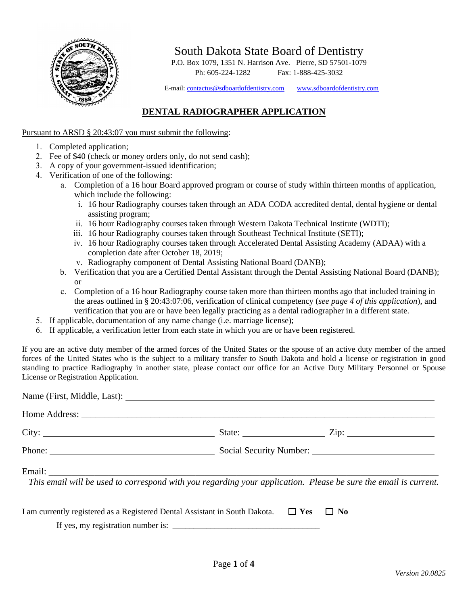

South Dakota State Board of Dentistry

P.O. Box 1079, 1351 N. Harrison Ave. Pierre, SD 57501-1079 Ph: 605-224-1282 Fax: 1-888-425-3032

E-mail[: contactus@sdboardofdentistry.com](mailto:contactus@sdboardofdentistry.com) [www.sdboardofdentistry.com](http://www.sdboardofdentistry.com/)

## **DENTAL RADIOGRAPHER APPLICATION**

## Pursuant to ARSD § 20:43:07 you must submit the following:

- 1. Completed application;
- 2. Fee of \$40 (check or money orders only, do not send cash);
- 3. A copy of your government-issued identification;
- 4. Verification of one of the following:
	- a. Completion of a 16 hour Board approved program or course of study within thirteen months of application, which include the following:
		- i. 16 hour Radiography courses taken through an ADA CODA accredited dental, dental hygiene or dental assisting program;
		- ii. 16 hour Radiography courses taken through Western Dakota Technical Institute (WDTI);
		- iii. 16 hour Radiography courses taken through Southeast Technical Institute (SETI);
		- iv. 16 hour Radiography courses taken through Accelerated Dental Assisting Academy (ADAA) with a completion date after October 18, 2019;
		- v. Radiography component of Dental Assisting National Board (DANB);
	- b. Verification that you are a Certified Dental Assistant through the Dental Assisting National Board (DANB); or
	- c. Completion of a 16 hour Radiography course taken more than thirteen months ago that included training in the areas outlined in § 20:43:07:06, verification of clinical competency (*see page 4 of this application*), and verification that you are or have been legally practicing as a dental radiographer in a different state.
- 5. If applicable, documentation of any name change (i.e. marriage license);
- 6. If applicable, a verification letter from each state in which you are or have been registered.

If you are an active duty member of the armed forces of the United States or the spouse of an active duty member of the armed forces of the United States who is the subject to a military transfer to South Dakota and hold a license or registration in good standing to practice Radiography in another state, please contact our office for an Active Duty Military Personnel or Spouse License or Registration Application.

| City:  |                                                                                                                 |  |
|--------|-----------------------------------------------------------------------------------------------------------------|--|
| Phone: |                                                                                                                 |  |
|        | This email will be used to correspond with you regarding your application. Please be sure the email is current. |  |

| I am currently registered as a Registered Dental Assistant in South Dakota. $\Box$ Yes $\Box$ No |  |
|--------------------------------------------------------------------------------------------------|--|
| If yes, my registration number is:                                                               |  |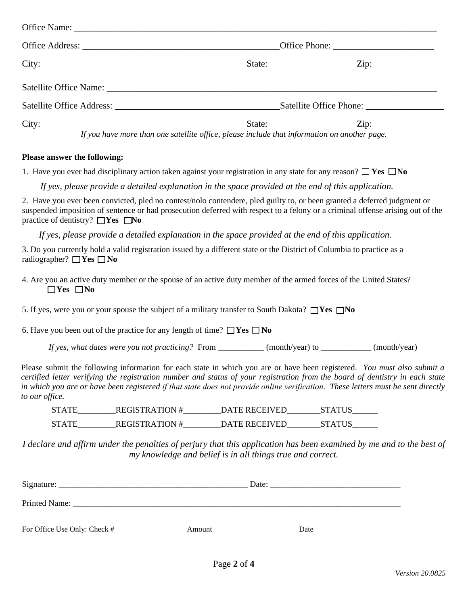|                                                                                              | State: <u>Zip:</u> |  |  |
|----------------------------------------------------------------------------------------------|--------------------|--|--|
|                                                                                              |                    |  |  |
|                                                                                              |                    |  |  |
| If you have more than one satellite office, please include that information on another page. |                    |  |  |

## **Please answer the following:**

1. Have you ever had disciplinary action taken against your registration in any state for any reason?  $\Box$  Yes  $\Box$  No

*If yes, please provide a detailed explanation in the space provided at the end of this application.*

2. Have you ever been convicted, pled no contest/nolo contendere, pled guilty to, or been granted a deferred judgment or suspended imposition of sentence or had prosecution deferred with respect to a felony or a criminal offense arising out of the practice of dentistry? **Yes** No

*If yes, please provide a detailed explanation in the space provided at the end of this application.*

3. Do you currently hold a valid registration issued by a different state or the District of Columbia to practice as a radiographer? **□Yes □No** 

4. Are you an active duty member or the spouse of an active duty member of the armed forces of the United States? **Yes No**

5. If yes, were you or your spouse the subject of a military transfer to South Dakota?  $\Box$ Yes  $\Box$ No

6. Have you been out of the practice for any length of time?  $\Box$  Yes  $\Box$  No

*If yes, what dates were you not practicing?* From \_\_\_\_\_\_\_\_\_\_\_ (month/year) to \_\_\_\_\_\_\_\_\_\_\_\_ (month/year)

Please submit the following information for each state in which you are or have been registered. *You must also submit a certified letter verifying the registration number and status of your registration from the board of dentistry in each state in which you are or have been registered if that state does not provide online verification. These letters must be sent directly to our office.*

STATE REGISTRATION # DATE RECEIVED STATUS STATE\_\_\_\_\_\_\_\_\_\_REGISTRATION #\_\_\_\_\_\_\_\_DATE RECEIVED\_\_\_\_\_\_\_\_\_STATUS\_\_\_\_\_\_\_

*I declare and affirm under the penalties of perjury that this application has been examined by me and to the best of my knowledge and belief is in all things true and correct.*

| Signature:                   | Date:  |      |  |
|------------------------------|--------|------|--|
| Printed Name:                |        |      |  |
|                              |        |      |  |
| For Office Use Only: Check # | Amount | Date |  |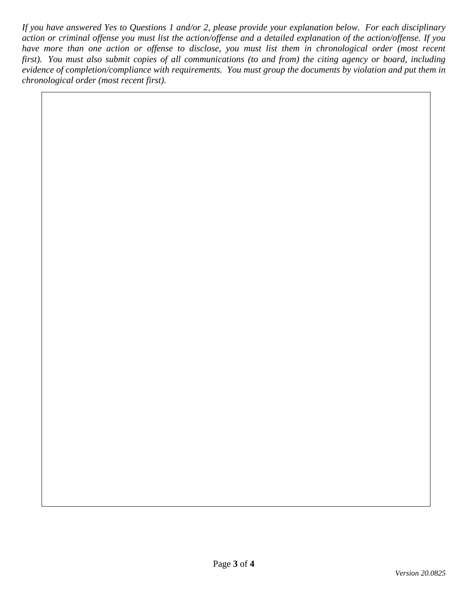*If you have answered Yes to Questions 1 and/or 2, please provide your explanation below. For each disciplinary action or criminal offense you must list the action/offense and a detailed explanation of the action/offense. If you*  have more than one action or offense to disclose, you must list them in chronological order (most recent *first). You must also submit copies of all communications (to and from) the citing agency or board, including evidence of completion/compliance with requirements. You must group the documents by violation and put them in chronological order (most recent first).*